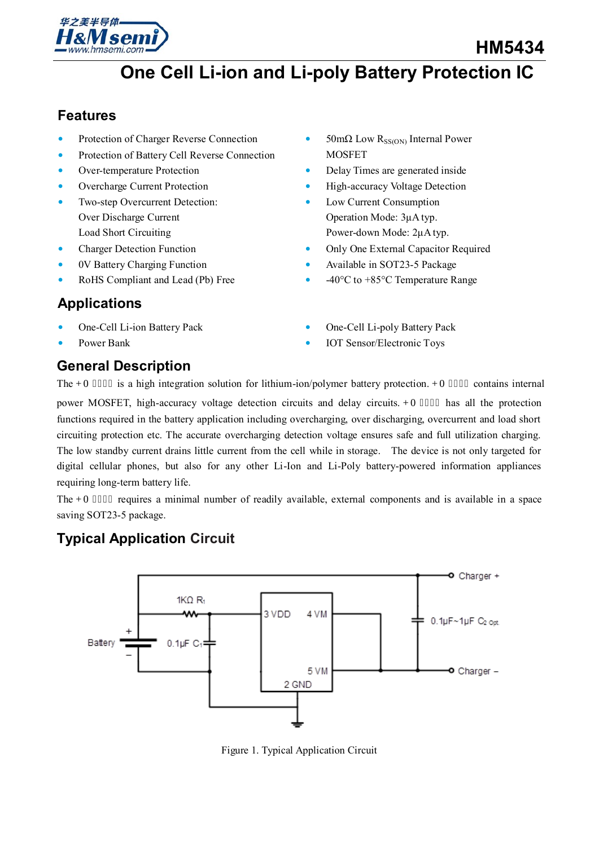

## **Features**

- Protection of Charger Reverse Connection
- Protection of Battery Cell Reverse Connection
- Over-temperature Protection
- Overcharge Current Protection
- Two-step Overcurrent Detection: Over Discharge Current Load Short Circuiting
- Charger Detection Function
- 0V Battery Charging Function
- RoHS Compliant and Lead (Pb) Free

## **Applications**

- One-Cell Li-ion Battery Pack
- Power Bank

## **General Description**

- 50mΩ Low R<sub>SS(ON)</sub> Internal Power MOSFET
- Delay Times are generated inside
- High-accuracy Voltage Detection
- Low Current Consumption Operation Mode: 3μA typ. Power-down Mode: 2μA typ.
- Only One External Capacitor Required
- Available in SOT23-5 Package
- -40°C to +85°C Temperature Range
- One-Cell Li-poly Battery Pack
- IOT Sensor/Electronic Toys

The  $J_{\rm 0}$  07656 is a high integration solution for lithium-ion/polymer battery protection.  $J_{\rm 0}$  07656 contains internal power MOSFET, high-accuracy voltage detection circuits and delay circuits. J O7656 has all the protection functions required in the battery application including overcharging, over discharging, overcurrent and load short circuiting protection etc. The accurate overcharging detection voltage ensures safe and full utilization charging. The low standby current drains little current from the cell while in storage. The device is not only targeted for digital cellular phones, but also for any other Li-Ion and Li-Poly battery-powered information appliances requiring long-term battery life.

The J O 7656 requires a minimal number of readily available, external components and is available in a space saving SOT23-5 package.

## **Typical Application Circuit**



Figure 1. Typical Application Circuit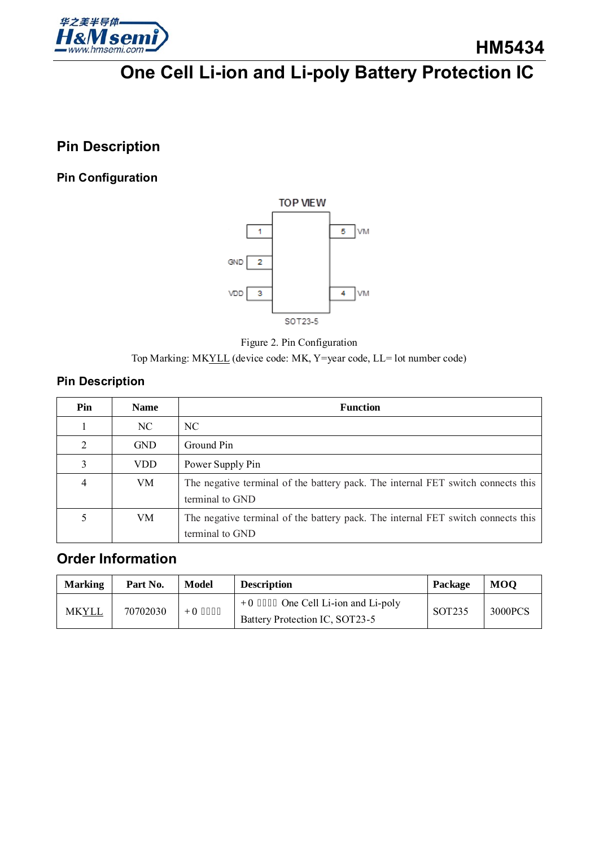

## **Pin Description**

### **Pin Configuration**





Top Marking: MKYLL (device code: MK, Y=year code, LL= lot number code)

### **Pin Description**

| Pin | <b>Name</b> | <b>Function</b>                                                                                     |
|-----|-------------|-----------------------------------------------------------------------------------------------------|
|     | NC.         | NC.                                                                                                 |
| 2   | <b>GND</b>  | Ground Pin                                                                                          |
| 3   | <b>VDD</b>  | Power Supply Pin                                                                                    |
| 4   | VM.         | The negative terminal of the battery pack. The internal FET switch connects this<br>terminal to GND |
|     | VM          | The negative terminal of the battery pack. The internal FET switch connects this<br>terminal to GND |

## **Order Information**

| <b>Marking</b> | Part No. | Model    | <b>Description</b>                                                     | Package | <b>MOO</b> |
|----------------|----------|----------|------------------------------------------------------------------------|---------|------------|
| MKYLL          | 70702030 | J O 7656 | J O 7656 One Cell Li-ion and Li-poly<br>Battery Protection IC, SOT23-5 | SOT235  | 3000PCS    |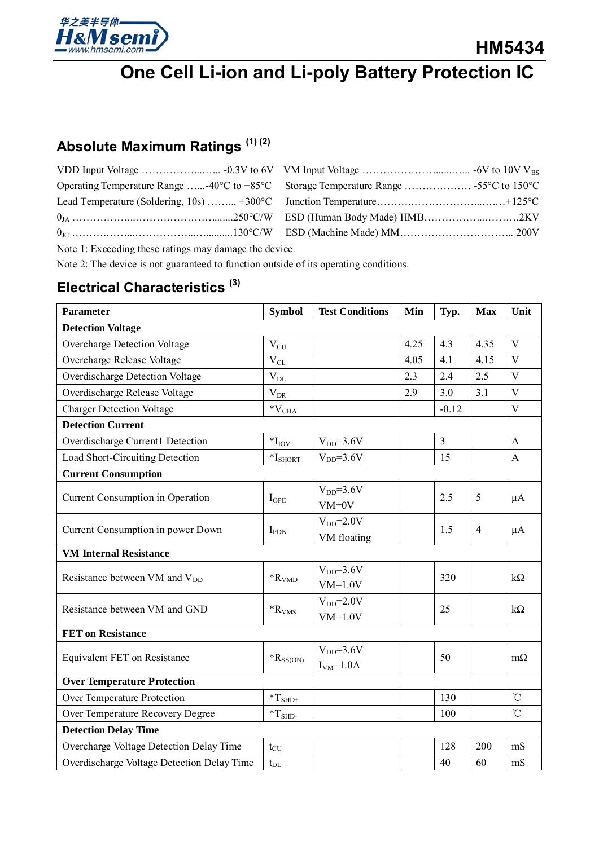

# **Absolute Maximum Ratings (1) (2)**

| Operating Temperature Range  -40°C to +85°C Storage Temperature Range  -55°C to 150°C |
|---------------------------------------------------------------------------------------|
|                                                                                       |
|                                                                                       |
|                                                                                       |

Note 1: Exceeding these ratings may damage the device.

Note 2: The device is not guaranteed to function outside of its operating conditions.

## **Electrical Characteristics (3)**

| <b>Parameter</b>                                 | <b>Symbol</b>                        | <b>Test Conditions</b>    | Min  | Typ.           | <b>Max</b>     | Unit                    |
|--------------------------------------------------|--------------------------------------|---------------------------|------|----------------|----------------|-------------------------|
| <b>Detection Voltage</b>                         |                                      |                           |      |                |                |                         |
| Overcharge Detection Voltage                     | $V_{CU}$                             |                           | 4.25 | 4.3            | 4.35           | $\overline{\mathbf{V}}$ |
| Overcharge Release Voltage                       | $\rm V_{CL}$                         |                           | 4.05 | 4.1            | 4.15           | $\mathbf{V}$            |
| Overdischarge Detection Voltage                  | $\rm V_{DL}$                         |                           | 2.3  | 2.4            | 2.5            | $\mathbf{V}$            |
| Overdischarge Release Voltage                    | $\rm V_{\rm DR}$                     |                           | 2.9  | 3.0            | 3.1            | V                       |
| <b>Charger Detection Voltage</b>                 | $\rm ^*V_{CHA}$                      |                           |      | $-0.12$        |                | $\mathbf{V}$            |
| <b>Detection Current</b>                         |                                      |                           |      |                |                |                         |
| Overdischarge Current1 Detection                 | $*IIOVI$                             | $VDD=3.6V$                |      | $\mathfrak{Z}$ |                | A                       |
| Load Short-Circuiting Detection                  | $\mathrm{*I}_{\mathrm{SHORT}}$       | $VDD=3.6V$                |      | 15             |                | A                       |
| <b>Current Consumption</b>                       |                                      |                           |      |                |                |                         |
| Current Consumption in Operation                 | $I_{OPE}$                            | $VDD=3.6V$<br>$VM=0V$     |      | 2.5            | 5              | $\mu A$                 |
| Current Consumption in power Down                | $I_{PDN}$                            | $VDD=2.0V$<br>VM floating |      | 1.5            | $\overline{4}$ | $\mu A$                 |
| <b>VM Internal Resistance</b>                    |                                      |                           |      |                |                |                         |
| Resistance between VM and V <sub>DD</sub>        | ${}^*R_{VMD}$                        | $VDD=3.6V$<br>$VM=1.0V$   |      | 320            |                | $k\Omega$               |
| Resistance between VM and GND                    | $\rm ^*R_{VMS}$                      | $VDD=2.0V$<br>$VM=1.0V$   |      | 25             |                | $k\Omega$               |
| <b>FET</b> on Resistance                         |                                      |                           |      |                |                |                         |
| Equivalent FET on Resistance                     | ${{}^*\mathbf{R}_{\mathrm{SS(ON)}}}$ | $VDD=3.6V$                |      | 50             |                | $m\Omega$               |
| $IVM=1.0A$<br><b>Over Temperature Protection</b> |                                      |                           |      |                |                |                         |
| Over Temperature Protection                      |                                      |                           |      | 130            |                | $\rm ^{\circ}C$         |
| Over Temperature Recovery Degree                 | $\rm ^*T_{SHD^+}$                    |                           |      | 100            |                | $\rm ^{\circ}C$         |
|                                                  | $\rm ^*T_{SHD}$                      |                           |      |                |                |                         |
| <b>Detection Delay Time</b>                      |                                      |                           |      |                |                |                         |
| Overcharge Voltage Detection Delay Time          | $t_{\rm CU}$                         |                           |      | 128            | 200            | mS                      |
| Overdischarge Voltage Detection Delay Time       | $t_{\rm DL}$                         |                           |      | 40             | 60             | mS                      |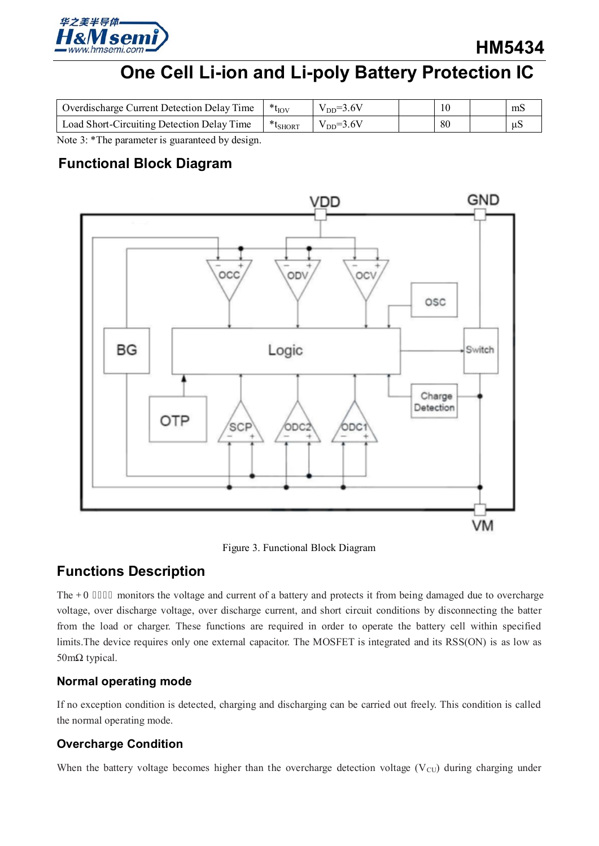

**HM5434**

# **One Cell Li-ion and Li-poly Battery Protection IC**

| <b>Overdischarge Current Detection Delay Time</b> | $*_{t_{IOV}}$          | $V_{DD} = 3.6V$  | 10 | mS  |
|---------------------------------------------------|------------------------|------------------|----|-----|
| Load Short-Circuiting Detection Delay Time        | $*_{t_{\text{SHORT}}}$ | $V_{DD} = 3.6 V$ | 80 | -uS |
| $ -$<br>_ _ _                                     |                        |                  |    |     |

Note 3: \*The parameter is guaranteed by design.

## **Functional Block Diagram**



Figure 3. Functional Block Diagram

## **Functions Description**

The J O 7656 monitors the voltage and current of a battery and protects it from being damaged due to overcharge voltage, over discharge voltage, over discharge current, and short circuit conditions by disconnecting the batter from the load or charger. These functions are required in order to operate the battery cell within specified limits.The device requires only one external capacitor. The MOSFET is integrated and its RSS(ON) is as low as 50mΩ typical.

### **Normal operating mode**

If no exception condition is detected, charging and discharging can be carried out freely. This condition is called the normal operating mode.

### **Overcharge Condition**

When the battery voltage becomes higher than the overcharge detection voltage ( $V_{\text{CU}}$ ) during charging under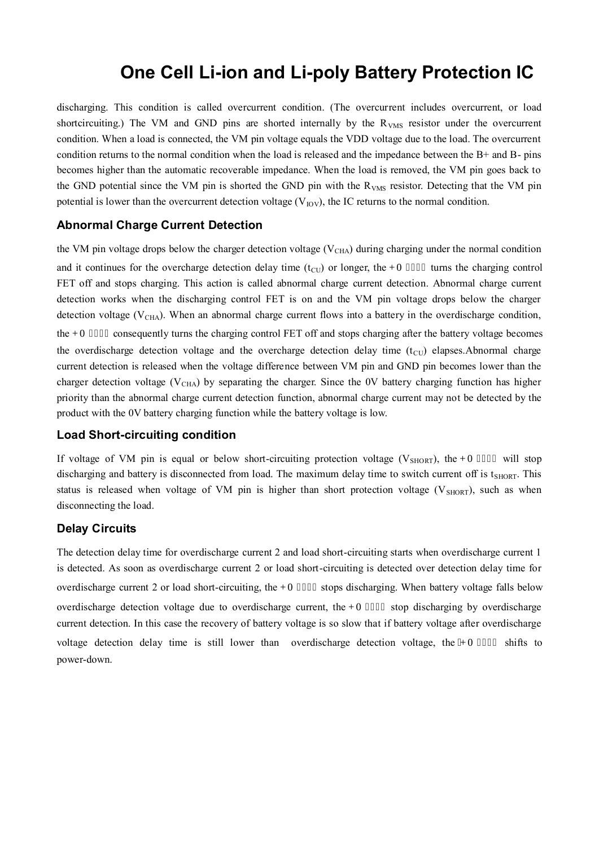discharging. This condition is called overcurrent condition. (The overcurrent includes overcurrent, or load shortcircuiting.) The VM and GND pins are shorted internally by the R<sub>VMS</sub> resistor under the overcurrent condition. When a load is connected, the VM pin voltage equals the VDD voltage due to the load. The overcurrent condition returns to the normal condition when the load is released and the impedance between the B+ and B- pins becomes higher than the automatic recoverable impedance. When the load is removed, the VM pin goes back to the GND potential since the VM pin is shorted the GND pin with the R<sub>VMS</sub> resistor. Detecting that the VM pin potential is lower than the overcurrent detection voltage  $(V_{IOV})$ , the IC returns to the normal condition.

#### **Abnormal Charge Current Detection**

the VM pin voltage drops below the charger detection voltage ( $V<sub>CHA</sub>$ ) during charging under the normal condition and it continues for the overcharge detection delay time (t<sub>CU</sub>) or longer, the  $J O 7656$  turns the charging control FET off and stops charging. This action is called abnormal charge current detection. Abnormal charge current detection works when the discharging control FET is on and the VM pin voltage drops below the charger detection voltage ( $V_{\text{CHA}}$ ). When an abnormal charge current flows into a battery in the overdischarge condition, the J O 7656 consequently turns the charging control FET off and stops charging after the battery voltage becomes the overdischarge detection voltage and the overcharge detection delay time  $(t<sub>CU</sub>)$  elapses.Abnormal charge current detection is released when the voltage difference between VM pin and GND pin becomes lower than the charger detection voltage ( $V_{\text{CHA}}$ ) by separating the charger. Since the 0V battery charging function has higher priority than the abnormal charge current detection function, abnormal charge current may not be detected by the product with the 0V battery charging function while the battery voltage is low.

#### **Load Short-circuiting condition**

If voltage of VM pin is equal or below short-circuiting protection voltage ( $V_{\text{SHORT}}$ ), the J O 7656 will stop discharging and battery is disconnected from load. The maximum delay time to switch current off is t<sub>SHORT</sub>. This status is released when voltage of VM pin is higher than short protection voltage ( $V_{SHORT}$ ), such as when disconnecting the load.

### **Delay Circuits**

The detection delay time for overdischarge current 2 and load short-circuiting starts when overdischarge current 1 is detected. As soon as overdischarge current 2 or load short-circuiting is detected over detection delay time for overdischarge current 2 or load short-circuiting, the J O 7656 stops discharging. When battery voltage falls below overdischarge detection voltage due to overdischarge current, the J O 7656 stop discharging by overdischarge current detection. In this case the recovery of battery voltage is so slow that if battery voltage after overdischarge voltage detection delay time is still lower than overdischarge detection voltage, the TO 7656 shifts to power-down.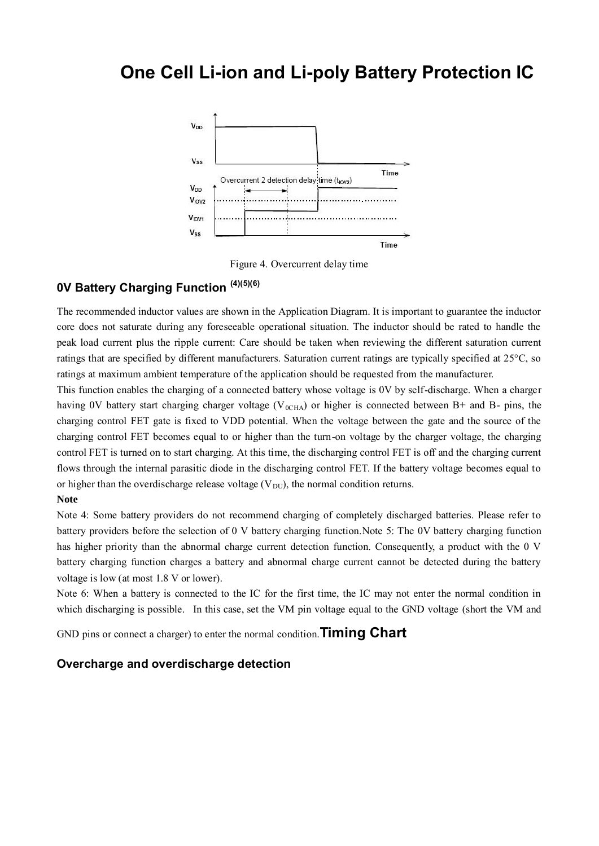

Figure 4. Overcurrent delay time

## **0V Battery Charging Function (4)(5)(6)**

The recommended inductor values are shown in the Application Diagram. It is important to guarantee the inductor core does not saturate during any foreseeable operational situation. The inductor should be rated to handle the peak load current plus the ripple current: Care should be taken when reviewing the different saturation current ratings that are specified by different manufacturers. Saturation current ratings are typically specified at 25°C, so ratings at maximum ambient temperature of the application should be requested from the manufacturer.

This function enables the charging of a connected battery whose voltage is 0V by self-discharge. When a charger having 0V battery start charging charger voltage ( $V_{0CHA}$ ) or higher is connected between B+ and B- pins, the charging control FET gate is fixed to VDD potential. When the voltage between the gate and the source of the charging control FET becomes equal to or higher than the turn-on voltage by the charger voltage, the charging control FET is turned on to start charging. At this time, the discharging control FET is off and the charging current flows through the internal parasitic diode in the discharging control FET. If the battery voltage becomes equal to or higher than the overdischarge release voltage  $(V_{DU})$ , the normal condition returns.

#### **Note**

Note 4: Some battery providers do not recommend charging of completely discharged batteries. Please refer to battery providers before the selection of 0 V battery charging function.Note 5: The 0V battery charging function has higher priority than the abnormal charge current detection function. Consequently, a product with the 0 V battery charging function charges a battery and abnormal charge current cannot be detected during the battery voltage is low (at most 1.8 V or lower).

Note 6: When a battery is connected to the IC for the first time, the IC may not enter the normal condition in which discharging is possible. In this case, set the VM pin voltage equal to the GND voltage (short the VM and

GND pins or connect a charger) to enter the normal condition.**Timing Chart** 

#### **Overcharge and overdischarge detection**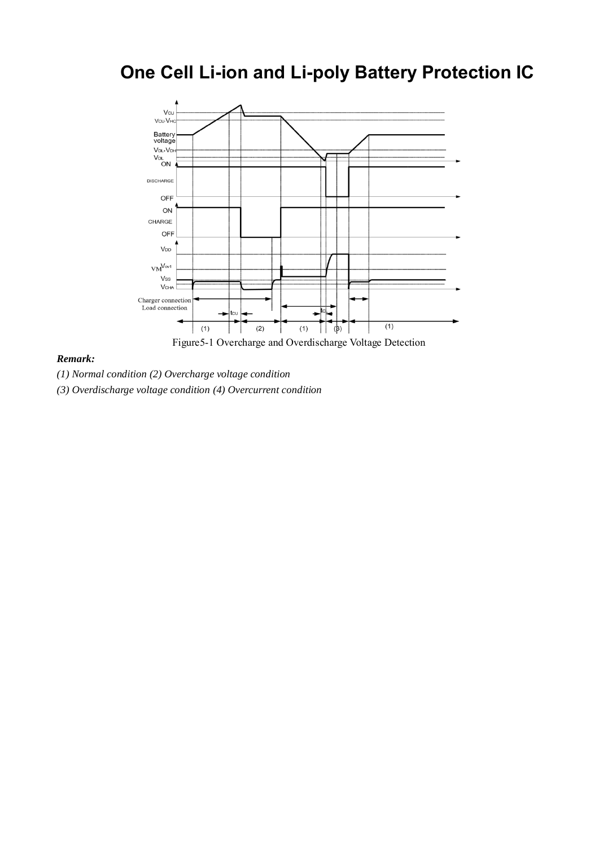

#### *Remark:*

*(1) Normal condition (2) Overcharge voltage condition* 

*(3) Overdischarge voltage condition (4) Overcurrent condition*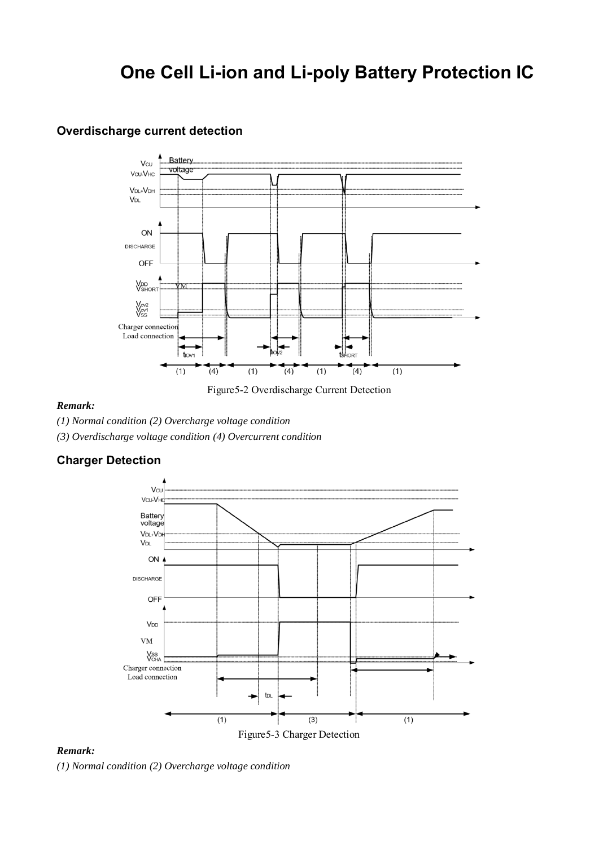### **Overdischarge current detection**



Figure5-2 Overdischarge Current Detection

#### *Remark:*

*(1) Normal condition (2) Overcharge voltage condition* 

*(3) Overdischarge voltage condition (4) Overcurrent condition* 

### **Charger Detection**



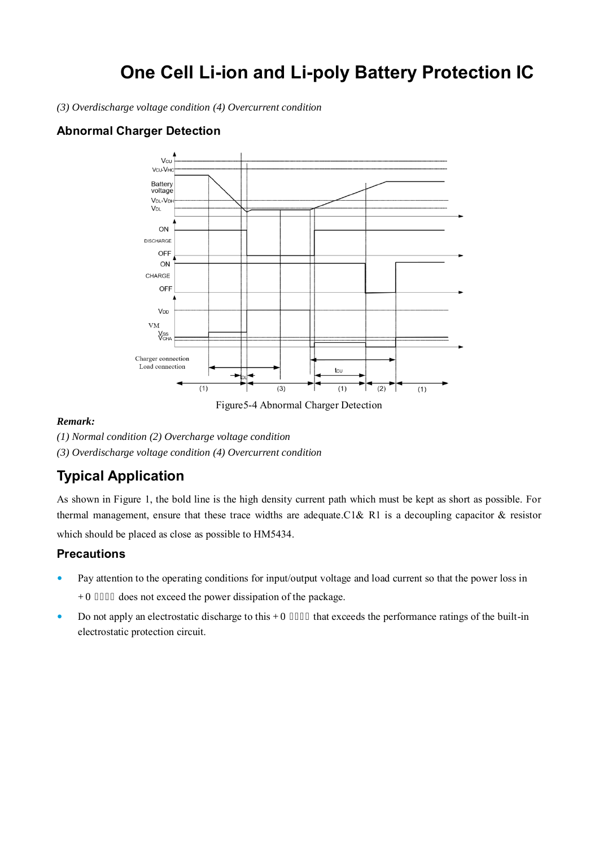*(3) Overdischarge voltage condition (4) Overcurrent condition* 

### **Abnormal Charger Detection**



Figure5-4 Abnormal Charger Detection

#### *Remark:*

*(1) Normal condition (2) Overcharge voltage condition (3) Overdischarge voltage condition (4) Overcurrent condition* 

## **Typical Application**

As shown in Figure 1, the bold line is the high density current path which must be kept as short as possible. For thermal management, ensure that these trace widths are adequate.C1& R1 is a decoupling capacitor & resistor which should be placed as close as possible to HM5434.

**Precautions** 

- Pay attention to the operating conditions for input/output voltage and load current so that the power loss in I O 7656 does not exceed the power dissipation of the package.
- Do not apply an electrostatic discharge to this J O 7656 that exceeds the performance ratings of the built-in electrostatic protection circuit.